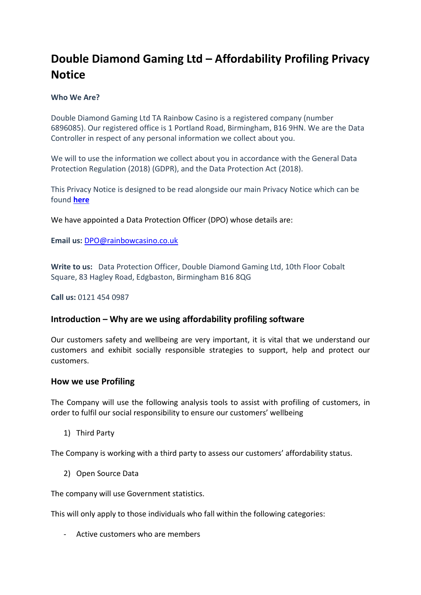# **Double Diamond Gaming Ltd – Affordability Profiling Privacy Notice**

#### **Who We Are?**

Double Diamond Gaming Ltd TA Rainbow Casino is a registered company (number 6896085). Our registered office is 1 Portland Road, Birmingham, B16 9HN. We are the Data Controller in respect of any personal information we collect about you.

We will to use the information we collect about you in accordance with the General Data Protection Regulation (2018) (GDPR), and the Data Protection Act (2018).

This Privacy Notice is designed to be read alongside our main Privacy Notice which can be found **[here](https://rainbowcasino.co.uk/privacy-policies/general-privacy-notice)**

We have appointed a Data Protection Officer (DPO) whose details are:

**Email us:** [DPO@rainbowcasino.co.uk](mailto:DPO@rainbowcasino.co.uk)

**Write to us:** Data Protection Officer, Double Diamond Gaming Ltd, 10th Floor Cobalt Square, 83 Hagley Road, Edgbaston, Birmingham B16 8QG

**Call us:** 0121 454 0987

## **Introduction – Why are we using affordability profiling software**

Our customers safety and wellbeing are very important, it is vital that we understand our customers and exhibit socially responsible strategies to support, help and protect our customers.

## **How we use Profiling**

The Company will use the following analysis tools to assist with profiling of customers, in order to fulfil our social responsibility to ensure our customers' wellbeing

1) Third Party

The Company is working with a third party to assess our customers' affordability status.

2) Open Source Data

The company will use Government statistics.

This will only apply to those individuals who fall within the following categories:

- Active customers who are members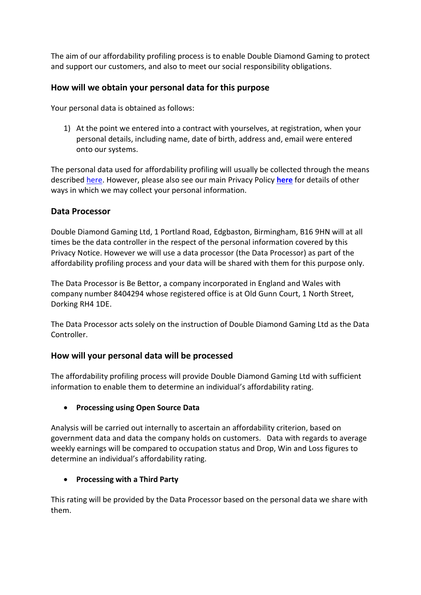The aim of our affordability profiling process is to enable Double Diamond Gaming to protect and support our customers, and also to meet our social responsibility obligations.

## **How will we obtain your personal data for this purpose**

Your personal data is obtained as follows:

1) At the point we entered into a contract with yourselves, at registration, when your personal details, including name, date of birth, address and, email were entered onto our systems.

The personal data used for affordability profiling will usually be collected through the means described [here.](https://rainbowcasino.co.uk/privacy-policies/general-privacy-notice) However, please also see our main Privacy Policy **[here](https://rainbowcasino.co.uk/privacy-policies/general-privacy-notice)** for details of other ways in which we may collect your personal information.

#### **Data Processor**

Double Diamond Gaming Ltd, 1 Portland Road, Edgbaston, Birmingham, B16 9HN will at all times be the data controller in the respect of the personal information covered by this Privacy Notice. However we will use a data processor (the Data Processor) as part of the affordability profiling process and your data will be shared with them for this purpose only.

The Data Processor is Be Bettor, a company incorporated in England and Wales with company number 8404294 whose registered office is at Old Gunn Court, 1 North Street, Dorking RH4 1DE.

The Data Processor acts solely on the instruction of Double Diamond Gaming Ltd as the Data Controller.

## **How will your personal data will be processed**

The affordability profiling process will provide Double Diamond Gaming Ltd with sufficient information to enable them to determine an individual's affordability rating.

## **Processing using Open Source Data**

Analysis will be carried out internally to ascertain an affordability criterion, based on government data and data the company holds on customers. Data with regards to average weekly earnings will be compared to occupation status and Drop, Win and Loss figures to determine an individual's affordability rating.

## **Processing with a Third Party**

This rating will be provided by the Data Processor based on the personal data we share with them.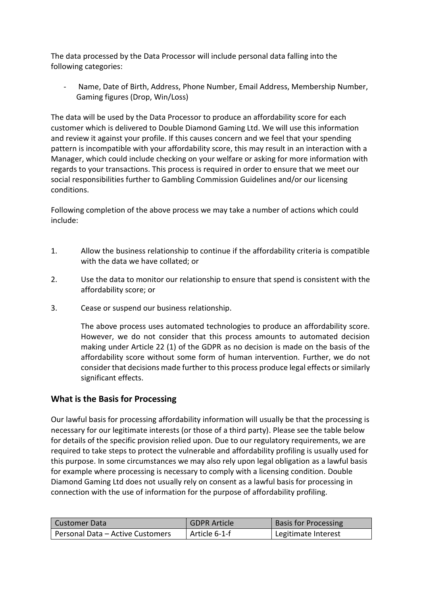The data processed by the Data Processor will include personal data falling into the following categories:

Name, Date of Birth, Address, Phone Number, Email Address, Membership Number, Gaming figures (Drop, Win/Loss)

The data will be used by the Data Processor to produce an affordability score for each customer which is delivered to Double Diamond Gaming Ltd. We will use this information and review it against your profile. If this causes concern and we feel that your spending pattern is incompatible with your affordability score, this may result in an interaction with a Manager, which could include checking on your welfare or asking for more information with regards to your transactions. This process is required in order to ensure that we meet our social responsibilities further to Gambling Commission Guidelines and/or our licensing conditions.

Following completion of the above process we may take a number of actions which could include:

- 1. Allow the business relationship to continue if the affordability criteria is compatible with the data we have collated; or
- 2. Use the data to monitor our relationship to ensure that spend is consistent with the affordability score; or
- 3. Cease or suspend our business relationship.

The above process uses automated technologies to produce an affordability score. However, we do not consider that this process amounts to automated decision making under Article 22 (1) of the GDPR as no decision is made on the basis of the affordability score without some form of human intervention. Further, we do not consider that decisions made further to this process produce legal effects or similarly significant effects.

# **What is the Basis for Processing**

Our lawful basis for processing affordability information will usually be that the processing is necessary for our legitimate interests (or those of a third party). Please see the table below for details of the specific provision relied upon. Due to our regulatory requirements, we are required to take steps to protect the vulnerable and affordability profiling is usually used for this purpose. In some circumstances we may also rely upon legal obligation as a lawful basis for example where processing is necessary to comply with a licensing condition. Double Diamond Gaming Ltd does not usually rely on consent as a lawful basis for processing in connection with the use of information for the purpose of affordability profiling.

| Customer Data                    | <b>GDPR Article</b> | <b>Basis for Processing</b> |
|----------------------------------|---------------------|-----------------------------|
| Personal Data - Active Customers | Article 6-1-f       | Legitimate Interest         |